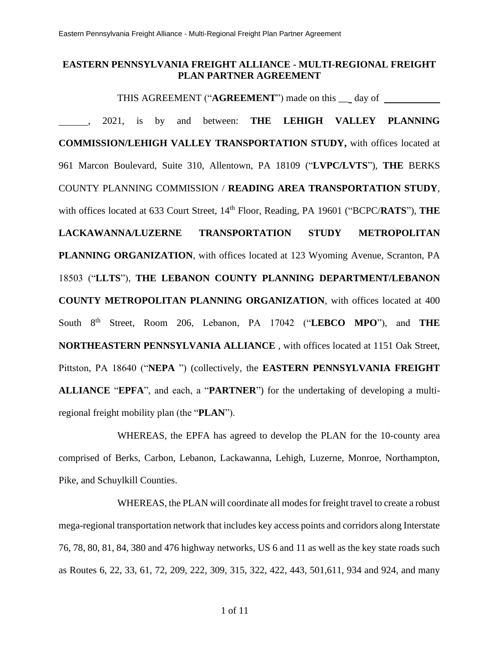### **EASTERN PENNSYLVANIA FREIGHT ALLIANCE - MULTI-REGIONAL FREIGHT PLAN PARTNER AGREEMENT**

THIS AGREEMENT ("**AGREEMENT**") made on this \_\_ day of , 2021, is by and between: **THE LEHIGH VALLEY PLANNING** 

**COMMISSION/LEHIGH VALLEY TRANSPORTATION STUDY,** with offices located at 961 Marcon Boulevard, Suite 310, Allentown, PA 18109 ("**LVPC/LVTS**"), **THE** BERKS COUNTY PLANNING COMMISSION / **READING AREA TRANSPORTATION STUDY**, with offices located at 633 Court Street, 14<sup>th</sup> Floor, Reading, PA 19601 ("BCPC/**RATS**"), THE **LACKAWANNA/LUZERNE TRANSPORTATION STUDY METROPOLITAN PLANNING ORGANIZATION**, with offices located at 123 Wyoming Avenue, Scranton, PA 18503 ("**LLTS**"), **THE LEBANON COUNTY PLANNING DEPARTMENT/LEBANON COUNTY METROPOLITAN PLANNING ORGANIZATION**, with offices located at 400 South 8th Street, Room 206, Lebanon, PA 17042 ("**LEBCO MPO**"), and **THE NORTHEASTERN PENNSYLVANIA ALLIANCE** , with offices located at 1151 Oak Street, Pittston, PA 18640 ("**NEPA** ") (collectively, the **EASTERN PENNSYLVANIA FREIGHT ALLIANCE** "**EPFA**", and each, a "**PARTNER**") for the undertaking of developing a multiregional freight mobility plan (the "**PLAN**").

WHEREAS, the EPFA has agreed to develop the PLAN for the 10-county area comprised of Berks, Carbon, Lebanon, Lackawanna, Lehigh, Luzerne, Monroe, Northampton, Pike, and Schuylkill Counties.

WHEREAS, the PLAN will coordinate all modes for freight travel to create a robust mega-regional transportation network that includes key access points and corridors along Interstate 76, 78, 80, 81, 84, 380 and 476 highway networks, US 6 and 11 as well as the key state roads such as Routes 6, 22, 33, 61, 72, 209, 222, 309, 315, 322, 422, 443, 501,611, 934 and 924, and many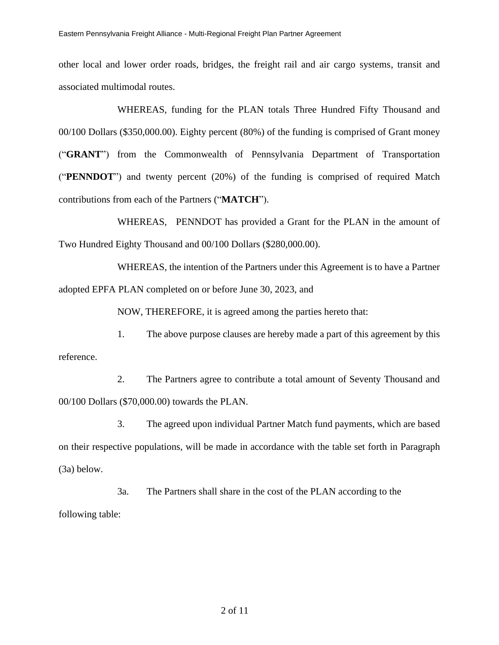other local and lower order roads, bridges, the freight rail and air cargo systems, transit and associated multimodal routes.

WHEREAS, funding for the PLAN totals Three Hundred Fifty Thousand and 00/100 Dollars (\$350,000.00). Eighty percent (80%) of the funding is comprised of Grant money ("**GRANT**") from the Commonwealth of Pennsylvania Department of Transportation ("**PENNDOT**") and twenty percent (20%) of the funding is comprised of required Match contributions from each of the Partners ("**MATCH**").

WHEREAS, PENNDOT has provided a Grant for the PLAN in the amount of Two Hundred Eighty Thousand and 00/100 Dollars (\$280,000.00).

WHEREAS, the intention of the Partners under this Agreement is to have a Partner adopted EPFA PLAN completed on or before June 30, 2023, and

NOW, THEREFORE, it is agreed among the parties hereto that:

1. The above purpose clauses are hereby made a part of this agreement by this reference.

2. The Partners agree to contribute a total amount of Seventy Thousand and 00/100 Dollars (\$70,000.00) towards the PLAN.

3. The agreed upon individual Partner Match fund payments, which are based on their respective populations, will be made in accordance with the table set forth in Paragraph (3a) below.

3a. The Partners shall share in the cost of the PLAN according to the following table: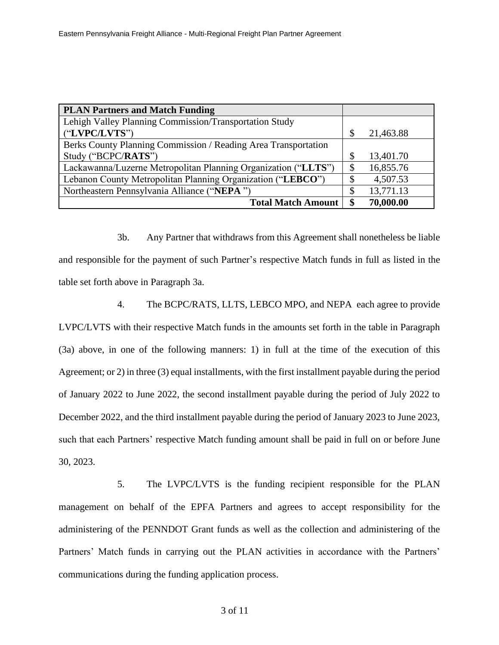| <b>PLAN Partners and Match Funding</b>                         |               |           |
|----------------------------------------------------------------|---------------|-----------|
| Lehigh Valley Planning Commission/Transportation Study         |               |           |
| ("LVPC/LVTS")                                                  | $\mathcal{S}$ | 21,463.88 |
| Berks County Planning Commission / Reading Area Transportation |               |           |
| Study ("BCPC/RATS")                                            | S             | 13,401.70 |
| Lackawanna/Luzerne Metropolitan Planning Organization ("LLTS") | \$            | 16,855.76 |
| Lebanon County Metropolitan Planning Organization ("LEBCO")    | S             | 4,507.53  |
| Northeastern Pennsylvania Alliance ("NEPA")                    | \$            | 13,771.13 |
| <b>Total Match Amount</b>                                      |               | 70,000.00 |

3b. Any Partner that withdraws from this Agreement shall nonetheless be liable and responsible for the payment of such Partner's respective Match funds in full as listed in the table set forth above in Paragraph 3a.

4. The BCPC/RATS, LLTS, LEBCO MPO, and NEPA each agree to provide LVPC/LVTS with their respective Match funds in the amounts set forth in the table in Paragraph (3a) above, in one of the following manners: 1) in full at the time of the execution of this Agreement; or 2) in three (3) equal installments, with the first installment payable during the period of January 2022 to June 2022, the second installment payable during the period of July 2022 to December 2022, and the third installment payable during the period of January 2023 to June 2023, such that each Partners' respective Match funding amount shall be paid in full on or before June 30, 2023.

5. The LVPC/LVTS is the funding recipient responsible for the PLAN management on behalf of the EPFA Partners and agrees to accept responsibility for the administering of the PENNDOT Grant funds as well as the collection and administering of the Partners' Match funds in carrying out the PLAN activities in accordance with the Partners' communications during the funding application process.

3 of 11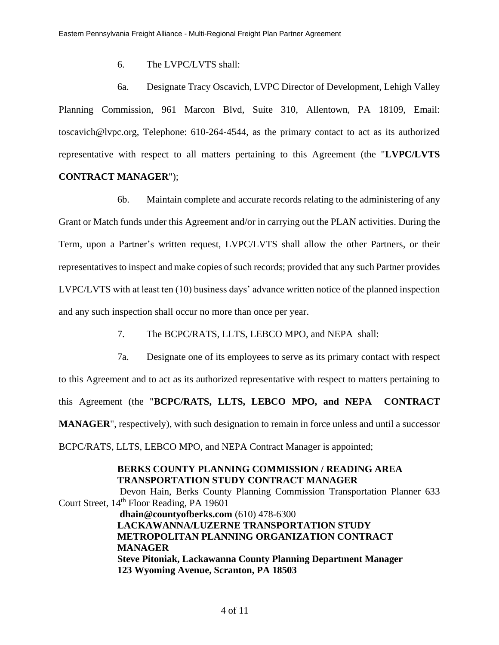6. The LVPC/LVTS shall:

6a. Designate Tracy Oscavich, LVPC Director of Development, Lehigh Valley Planning Commission, 961 Marcon Blvd, Suite 310, Allentown, PA 18109, Email: toscavich@lvpc.org, Telephone: 610-264-4544, as the primary contact to act as its authorized representative with respect to all matters pertaining to this Agreement (the "**LVPC/LVTS**

## **CONTRACT MANAGER**");

6b. Maintain complete and accurate records relating to the administering of any Grant or Match funds under this Agreement and/or in carrying out the PLAN activities. During the Term, upon a Partner's written request, LVPC/LVTS shall allow the other Partners, or their representatives to inspect and make copies of such records; provided that any such Partner provides LVPC/LVTS with at least ten (10) business days' advance written notice of the planned inspection and any such inspection shall occur no more than once per year.

- 7. The BCPC/RATS, LLTS, LEBCO MPO, and NEPA shall:
- 7a. Designate one of its employees to serve as its primary contact with respect

to this Agreement and to act as its authorized representative with respect to matters pertaining to this Agreement (the "**BCPC/RATS, LLTS, LEBCO MPO, and NEPA CONTRACT MANAGER**", respectively), with such designation to remain in force unless and until a successor BCPC/RATS, LLTS, LEBCO MPO, and NEPA Contract Manager is appointed;

**BERKS COUNTY PLANNING COMMISSION / READING AREA TRANSPORTATION STUDY CONTRACT MANAGER** Devon Hain, Berks County Planning Commission Transportation Planner 633 Court Street, 14<sup>th</sup> Floor Reading, PA 19601 **dhain@countyofberks.com** (610) 478-6300 **LACKAWANNA/LUZERNE TRANSPORTATION STUDY METROPOLITAN PLANNING ORGANIZATION CONTRACT MANAGER Steve Pitoniak, Lackawanna County Planning Department Manager 123 Wyoming Avenue, Scranton, PA 18503**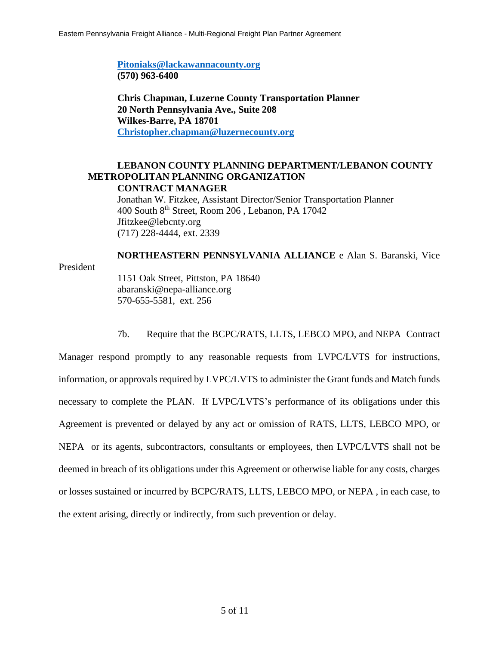**[Pitoniaks@lackawannacounty.org](mailto:Pitoniaks@lackawannacounty.org) (570) 963-6400**

**Chris Chapman, Luzerne County Transportation Planner 20 North Pennsylvania Ave., Suite 208 Wilkes-Barre, PA 18701 [Christopher.chapman@luzernecounty.org](mailto:Christopher.chapman@luzernecounty.org)**

#### **LEBANON COUNTY PLANNING DEPARTMENT/LEBANON COUNTY METROPOLITAN PLANNING ORGANIZATION CONTRACT MANAGER**

Jonathan W. Fitzkee, Assistant Director/Senior Transportation Planner 400 South 8th Street, Room 206 , Lebanon, PA 17042 Jfitzkee@lebcnty.org (717) 228-4444, ext. 2339

#### **NORTHEASTERN PENNSYLVANIA ALLIANCE** e Alan S. Baranski, Vice President 1151 Oak Street, Pittston, PA 18640

abaranski@nepa-alliance.org 570-655-5581, ext. 256

7b. Require that the BCPC/RATS, LLTS, LEBCO MPO, and NEPA Contract

Manager respond promptly to any reasonable requests from LVPC/LVTS for instructions, information, or approvals required by LVPC/LVTS to administer the Grant funds and Match funds necessary to complete the PLAN. If LVPC/LVTS's performance of its obligations under this Agreement is prevented or delayed by any act or omission of RATS, LLTS, LEBCO MPO, or NEPA or its agents, subcontractors, consultants or employees, then LVPC/LVTS shall not be deemed in breach of its obligations under this Agreement or otherwise liable for any costs, charges or losses sustained or incurred by BCPC/RATS, LLTS, LEBCO MPO, or NEPA , in each case, to the extent arising, directly or indirectly, from such prevention or delay.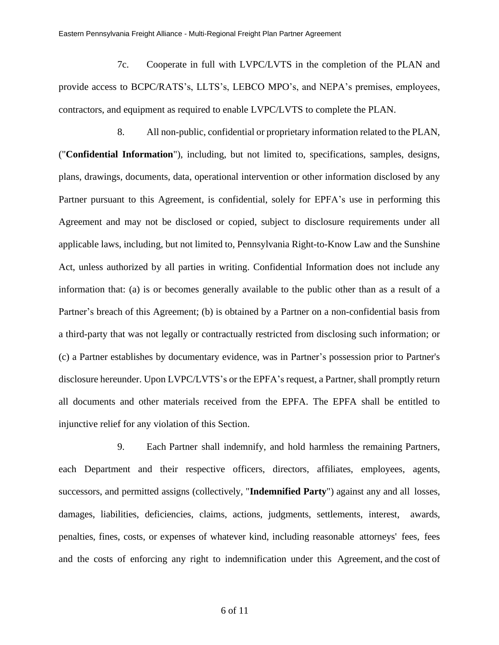7c. Cooperate in full with LVPC/LVTS in the completion of the PLAN and provide access to BCPC/RATS's, LLTS's, LEBCO MPO's, and NEPA's premises, employees, contractors, and equipment as required to enable LVPC/LVTS to complete the PLAN.

8. All non-public, confidential or proprietary information related to the PLAN, ("**Confidential Information**"), including, but not limited to, specifications, samples, designs, plans, drawings, documents, data, operational intervention or other information disclosed by any Partner pursuant to this Agreement, is confidential, solely for EPFA's use in performing this Agreement and may not be disclosed or copied, subject to disclosure requirements under all applicable laws, including, but not limited to, Pennsylvania Right-to-Know Law and the Sunshine Act, unless authorized by all parties in writing. Confidential Information does not include any information that: (a) is or becomes generally available to the public other than as a result of a Partner's breach of this Agreement; (b) is obtained by a Partner on a non-confidential basis from a third-party that was not legally or contractually restricted from disclosing such information; or (c) a Partner establishes by documentary evidence, was in Partner's possession prior to Partner's disclosure hereunder. Upon LVPC/LVTS's or the EPFA's request, a Partner, shall promptly return all documents and other materials received from the EPFA. The EPFA shall be entitled to injunctive relief for any violation of this Section.

9. Each Partner shall indemnify, and hold harmless the remaining Partners, each Department and their respective officers, directors, affiliates, employees, agents, successors, and permitted assigns (collectively, "**Indemnified Party**") against any and all losses, damages, liabilities, deficiencies, claims, actions, judgments, settlements, interest, awards, penalties, fines, costs, or expenses of whatever kind, including reasonable attorneys' fees, fees and the costs of enforcing any right to indemnification under this Agreement, and the cost of

6 of 11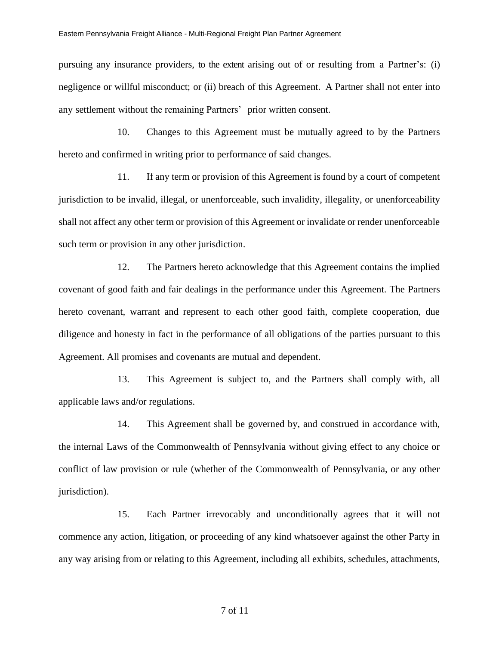pursuing any insurance providers, to the extent arising out of or resulting from a Partner's: (i) negligence or willful misconduct; or (ii) breach of this Agreement. A Partner shall not enter into any settlement without the remaining Partners' prior written consent.

10. Changes to this Agreement must be mutually agreed to by the Partners hereto and confirmed in writing prior to performance of said changes.

11. If any term or provision of this Agreement is found by a court of competent jurisdiction to be invalid, illegal, or unenforceable, such invalidity, illegality, or unenforceability shall not affect any other term or provision of this Agreement or invalidate or render unenforceable such term or provision in any other jurisdiction.

12. The Partners hereto acknowledge that this Agreement contains the implied covenant of good faith and fair dealings in the performance under this Agreement. The Partners hereto covenant, warrant and represent to each other good faith, complete cooperation, due diligence and honesty in fact in the performance of all obligations of the parties pursuant to this Agreement. All promises and covenants are mutual and dependent.

13. This Agreement is subject to, and the Partners shall comply with, all applicable laws and/or regulations.

14. This Agreement shall be governed by, and construed in accordance with, the internal Laws of the Commonwealth of Pennsylvania without giving effect to any choice or conflict of law provision or rule (whether of the Commonwealth of Pennsylvania, or any other jurisdiction).

15. Each Partner irrevocably and unconditionally agrees that it will not commence any action, litigation, or proceeding of any kind whatsoever against the other Party in any way arising from or relating to this Agreement, including all exhibits, schedules, attachments,

7 of 11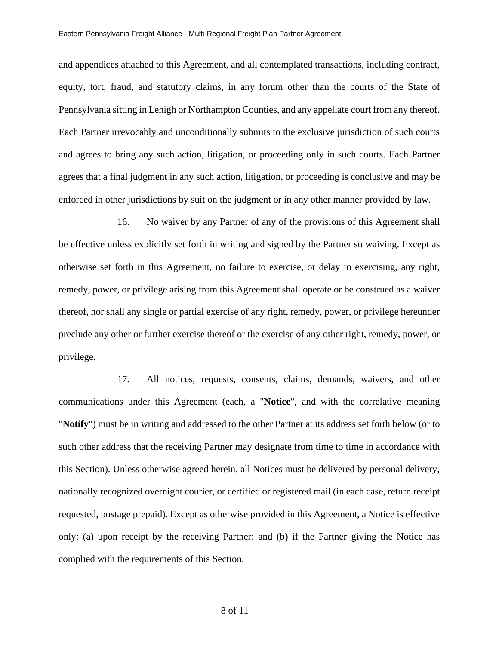and appendices attached to this Agreement, and all contemplated transactions, including contract, equity, tort, fraud, and statutory claims, in any forum other than the courts of the State of Pennsylvania sitting in Lehigh or Northampton Counties, and any appellate court from any thereof. Each Partner irrevocably and unconditionally submits to the exclusive jurisdiction of such courts and agrees to bring any such action, litigation, or proceeding only in such courts. Each Partner agrees that a final judgment in any such action, litigation, or proceeding is conclusive and may be enforced in other jurisdictions by suit on the judgment or in any other manner provided by law.

16. No waiver by any Partner of any of the provisions of this Agreement shall be effective unless explicitly set forth in writing and signed by the Partner so waiving. Except as otherwise set forth in this Agreement, no failure to exercise, or delay in exercising, any right, remedy, power, or privilege arising from this Agreement shall operate or be construed as a waiver thereof, nor shall any single or partial exercise of any right, remedy, power, or privilege hereunder preclude any other or further exercise thereof or the exercise of any other right, remedy, power, or privilege.

17. All notices, requests, consents, claims, demands, waivers, and other communications under this Agreement (each, a "**Notice**", and with the correlative meaning "**Notify**") must be in writing and addressed to the other Partner at its address set forth below (or to such other address that the receiving Partner may designate from time to time in accordance with this Section). Unless otherwise agreed herein, all Notices must be delivered by personal delivery, nationally recognized overnight courier, or certified or registered mail (in each case, return receipt requested, postage prepaid). Except as otherwise provided in this Agreement, a Notice is effective only: (a) upon receipt by the receiving Partner; and (b) if the Partner giving the Notice has complied with the requirements of this Section.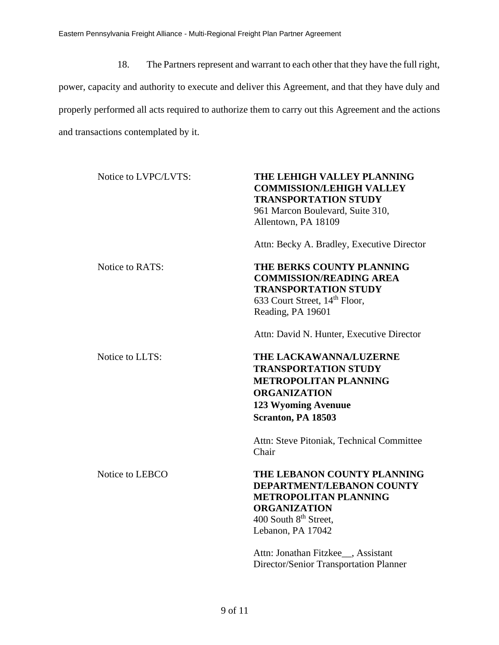18. The Partners represent and warrant to each other that they have the full right, power, capacity and authority to execute and deliver this Agreement, and that they have duly and properly performed all acts required to authorize them to carry out this Agreement and the actions and transactions contemplated by it.

| Notice to LVPC/LVTS: | THE LEHIGH VALLEY PLANNING<br><b>COMMISSION/LEHIGH VALLEY</b><br><b>TRANSPORTATION STUDY</b><br>961 Marcon Boulevard, Suite 310,<br>Allentown, PA 18109                   |
|----------------------|---------------------------------------------------------------------------------------------------------------------------------------------------------------------------|
|                      | Attn: Becky A. Bradley, Executive Director                                                                                                                                |
| Notice to RATS:      | THE BERKS COUNTY PLANNING<br><b>COMMISSION/READING AREA</b><br><b>TRANSPORTATION STUDY</b><br>633 Court Street, 14 <sup>th</sup> Floor,<br>Reading, PA 19601              |
|                      | Attn: David N. Hunter, Executive Director                                                                                                                                 |
| Notice to LLTS:      | THE LACKAWANNA/LUZERNE<br><b>TRANSPORTATION STUDY</b><br><b>METROPOLITAN PLANNING</b><br><b>ORGANIZATION</b><br>123 Wyoming Avenuue<br>Scranton, PA 18503                 |
|                      | Attn: Steve Pitoniak, Technical Committee<br>Chair                                                                                                                        |
| Notice to LEBCO      | THE LEBANON COUNTY PLANNING<br>DEPARTMENT/LEBANON COUNTY<br><b>METROPOLITAN PLANNING</b><br><b>ORGANIZATION</b><br>400 South 8 <sup>th</sup> Street,<br>Lebanon, PA 17042 |
|                      | Attn: Jonathan Fitzkee_, Assistant<br>Director/Senior Transportation Planner                                                                                              |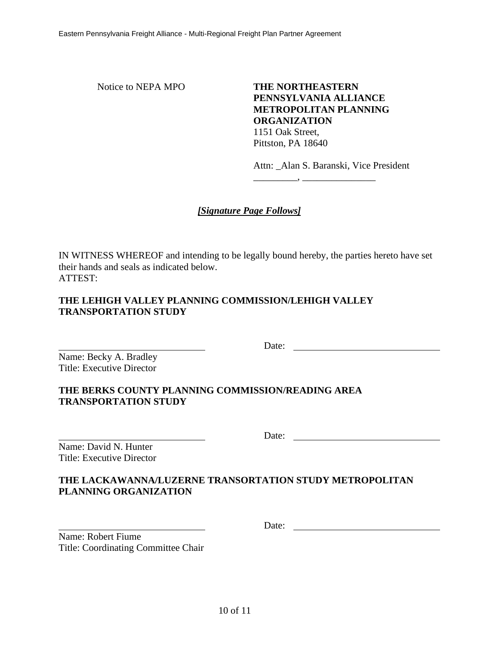Notice to NEPA MPO<br> **THE NORTHEASTERN PENNSYLVANIA ALLIANCE METROPOLITAN PLANNING ORGANIZATION** 1151 Oak Street, Pittston, PA 18640

Attn: \_Alan S. Baranski, Vice President

\_\_\_\_\_\_\_\_\_, \_\_\_\_\_\_\_\_\_\_\_\_\_\_\_

# *[Signature Page Follows]*

IN WITNESS WHEREOF and intending to be legally bound hereby, the parties hereto have set their hands and seals as indicated below. ATTEST:

## **THE LEHIGH VALLEY PLANNING COMMISSION/LEHIGH VALLEY TRANSPORTATION STUDY**

Name: Becky A. Bradley Title: Executive Director

## **THE BERKS COUNTY PLANNING COMMISSION/READING AREA TRANSPORTATION STUDY**

Name: David N. Hunter Title: Executive Director Date:

Date:

## **THE LACKAWANNA/LUZERNE TRANSORTATION STUDY METROPOLITAN PLANNING ORGANIZATION**

Date:

 $\overline{\phantom{a}}$ Name: Robert Fiume Title: Coordinating Committee Chair